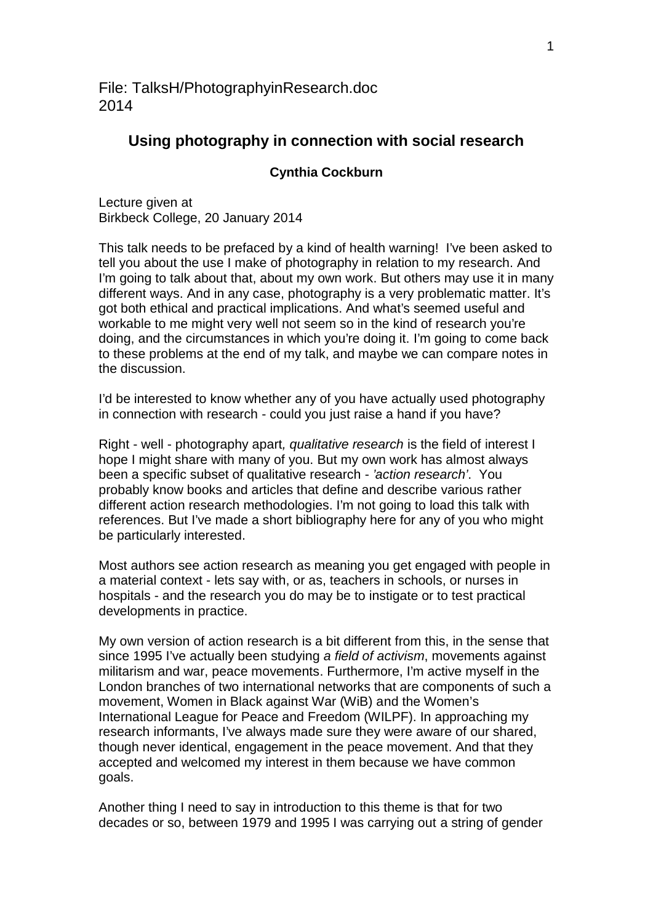File: TalksH/PhotographyinResearch.doc 2014

# **Using photography in connection with social research**

### **Cynthia Cockburn**

Lecture given at Birkbeck College, 20 January 2014

This talk needs to be prefaced by a kind of health warning! I've been asked to tell you about the use I make of photography in relation to my research. And I'm going to talk about that, about my own work. But others may use it in many different ways. And in any case, photography is a very problematic matter. It's got both ethical and practical implications. And what's seemed useful and workable to me might very well not seem so in the kind of research you're doing, and the circumstances in which you're doing it. I'm going to come back to these problems at the end of my talk, and maybe we can compare notes in the discussion.

I'd be interested to know whether any of you have actually used photography in connection with research - could you just raise a hand if you have?

Right - well - photography apart*, qualitative research* is the field of interest I hope I might share with many of you. But my own work has almost always been a specific subset of qualitative research - *'action research'*. You probably know books and articles that define and describe various rather different action research methodologies. I'm not going to load this talk with references. But I've made a short bibliography here for any of you who might be particularly interested.

Most authors see action research as meaning you get engaged with people in a material context - lets say with, or as, teachers in schools, or nurses in hospitals - and the research you do may be to instigate or to test practical developments in practice.

My own version of action research is a bit different from this, in the sense that since 1995 I've actually been studying *a field of activism*, movements against militarism and war, peace movements. Furthermore, I'm active myself in the London branches of two international networks that are components of such a movement, Women in Black against War (WiB) and the Women's International League for Peace and Freedom (WILPF). In approaching my research informants, I've always made sure they were aware of our shared, though never identical, engagement in the peace movement. And that they accepted and welcomed my interest in them because we have common goals.

Another thing I need to say in introduction to this theme is that for two decades or so, between 1979 and 1995 I was carrying out a string of gender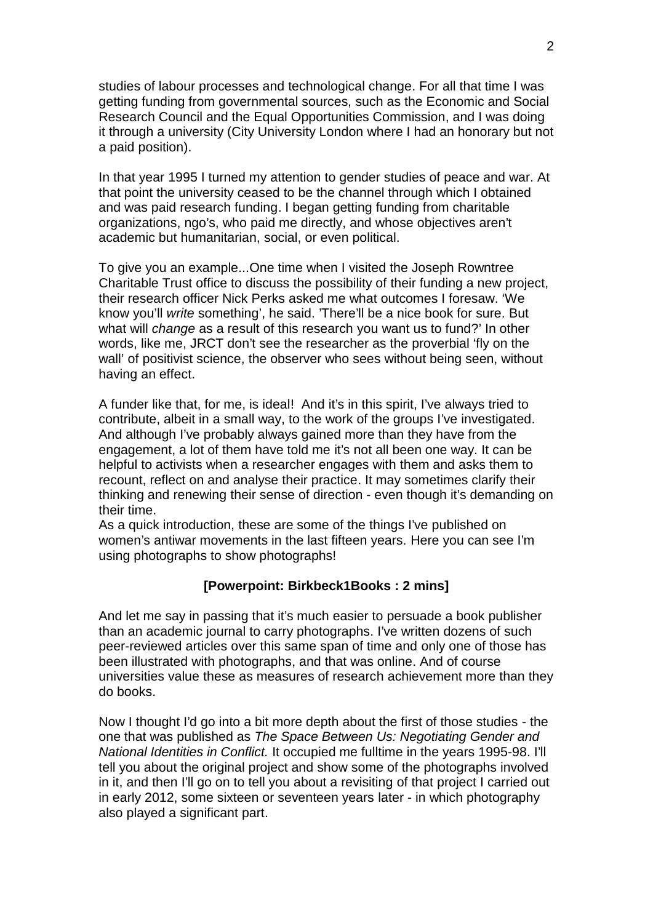studies of labour processes and technological change. For all that time I was getting funding from governmental sources, such as the Economic and Social Research Council and the Equal Opportunities Commission, and I was doing it through a university (City University London where I had an honorary but not a paid position).

In that year 1995 I turned my attention to gender studies of peace and war. At that point the university ceased to be the channel through which I obtained and was paid research funding. I began getting funding from charitable organizations, ngo's, who paid me directly, and whose objectives aren't academic but humanitarian, social, or even political.

To give you an example...One time when I visited the Joseph Rowntree Charitable Trust office to discuss the possibility of their funding a new project, their research officer Nick Perks asked me what outcomes I foresaw. 'We know you'll *write* something', he said. 'There'll be a nice book for sure. But what will *change* as a result of this research you want us to fund?' In other words, like me, JRCT don't see the researcher as the proverbial 'fly on the wall' of positivist science, the observer who sees without being seen, without having an effect.

A funder like that, for me, is ideal! And it's in this spirit, I've always tried to contribute, albeit in a small way, to the work of the groups I've investigated. And although I've probably always gained more than they have from the engagement, a lot of them have told me it's not all been one way. It can be helpful to activists when a researcher engages with them and asks them to recount, reflect on and analyse their practice. It may sometimes clarify their thinking and renewing their sense of direction - even though it's demanding on their time.

As a quick introduction, these are some of the things I've published on women's antiwar movements in the last fifteen years. Here you can see I'm using photographs to show photographs!

## **[Powerpoint: Birkbeck1Books : 2 mins]**

And let me say in passing that it's much easier to persuade a book publisher than an academic journal to carry photographs. I've written dozens of such peer-reviewed articles over this same span of time and only one of those has been illustrated with photographs, and that was online. And of course universities value these as measures of research achievement more than they do books.

Now I thought I'd go into a bit more depth about the first of those studies - the one that was published as *The Space Between Us: Negotiating Gender and National Identities in Conflict.* It occupied me fulltime in the years 1995-98. I'll tell you about the original project and show some of the photographs involved in it, and then I'll go on to tell you about a revisiting of that project I carried out in early 2012, some sixteen or seventeen years later - in which photography also played a significant part.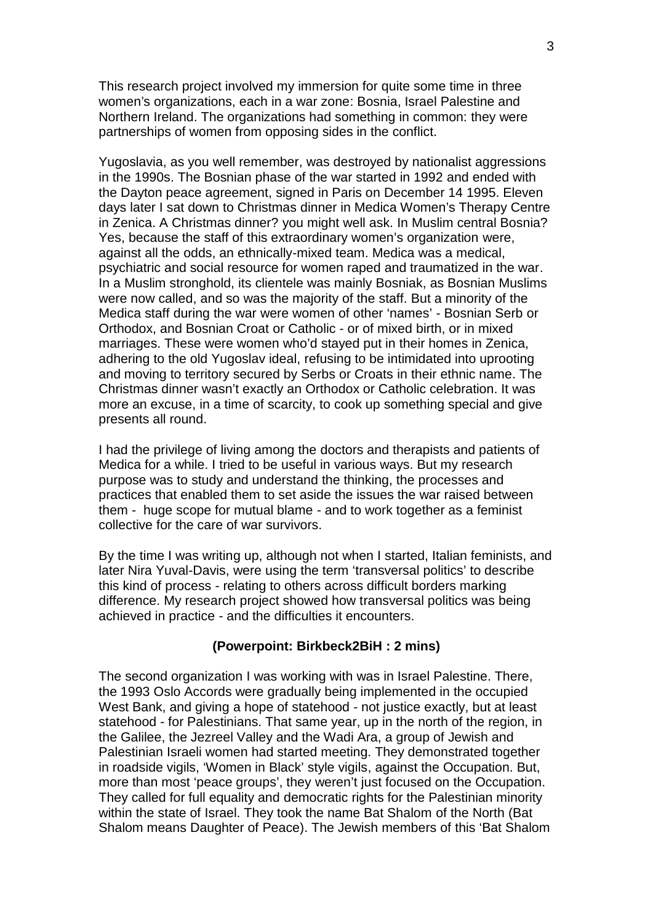This research project involved my immersion for quite some time in three women's organizations, each in a war zone: Bosnia, Israel Palestine and Northern Ireland. The organizations had something in common: they were partnerships of women from opposing sides in the conflict.

Yugoslavia, as you well remember, was destroyed by nationalist aggressions in the 1990s. The Bosnian phase of the war started in 1992 and ended with the Dayton peace agreement, signed in Paris on December 14 1995. Eleven days later I sat down to Christmas dinner in Medica Women's Therapy Centre in Zenica. A Christmas dinner? you might well ask. In Muslim central Bosnia? Yes, because the staff of this extraordinary women's organization were, against all the odds, an ethnically-mixed team. Medica was a medical, psychiatric and social resource for women raped and traumatized in the war. In a Muslim stronghold, its clientele was mainly Bosniak, as Bosnian Muslims were now called, and so was the majority of the staff. But a minority of the Medica staff during the war were women of other 'names' - Bosnian Serb or Orthodox, and Bosnian Croat or Catholic - or of mixed birth, or in mixed marriages. These were women who'd stayed put in their homes in Zenica, adhering to the old Yugoslav ideal, refusing to be intimidated into uprooting and moving to territory secured by Serbs or Croats in their ethnic name. The Christmas dinner wasn't exactly an Orthodox or Catholic celebration. It was more an excuse, in a time of scarcity, to cook up something special and give presents all round.

I had the privilege of living among the doctors and therapists and patients of Medica for a while. I tried to be useful in various ways. But my research purpose was to study and understand the thinking, the processes and practices that enabled them to set aside the issues the war raised between them - huge scope for mutual blame - and to work together as a feminist collective for the care of war survivors.

By the time I was writing up, although not when I started, Italian feminists, and later Nira Yuval-Davis, were using the term 'transversal politics' to describe this kind of process - relating to others across difficult borders marking difference. My research project showed how transversal politics was being achieved in practice - and the difficulties it encounters.

### **(Powerpoint: Birkbeck2BiH : 2 mins)**

The second organization I was working with was in Israel Palestine. There, the 1993 Oslo Accords were gradually being implemented in the occupied West Bank, and giving a hope of statehood - not justice exactly, but at least statehood - for Palestinians. That same year, up in the north of the region, in the Galilee, the Jezreel Valley and the Wadi Ara, a group of Jewish and Palestinian Israeli women had started meeting. They demonstrated together in roadside vigils, 'Women in Black' style vigils, against the Occupation. But, more than most 'peace groups', they weren't just focused on the Occupation. They called for full equality and democratic rights for the Palestinian minority within the state of Israel. They took the name Bat Shalom of the North (Bat Shalom means Daughter of Peace). The Jewish members of this 'Bat Shalom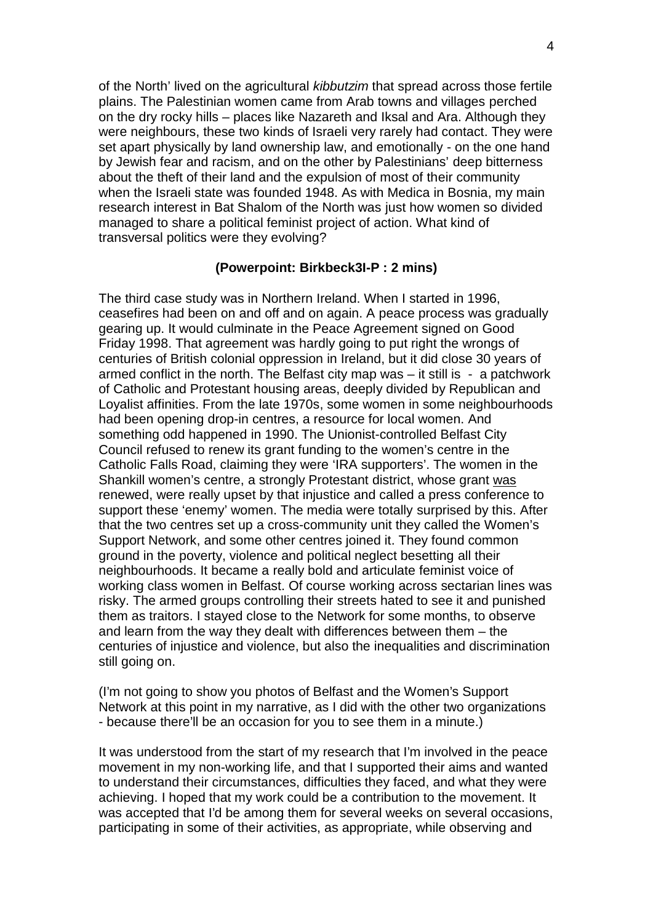of the North' lived on the agricultural *kibbutzim* that spread across those fertile plains. The Palestinian women came from Arab towns and villages perched on the dry rocky hills – places like Nazareth and Iksal and Ara. Although they were neighbours, these two kinds of Israeli very rarely had contact. They were set apart physically by land ownership law, and emotionally - on the one hand by Jewish fear and racism, and on the other by Palestinians' deep bitterness about the theft of their land and the expulsion of most of their community when the Israeli state was founded 1948. As with Medica in Bosnia, my main research interest in Bat Shalom of the North was just how women so divided managed to share a political feminist project of action. What kind of transversal politics were they evolving?

### **(Powerpoint: Birkbeck3I-P : 2 mins)**

The third case study was in Northern Ireland. When I started in 1996, ceasefires had been on and off and on again. A peace process was gradually gearing up. It would culminate in the Peace Agreement signed on Good Friday 1998. That agreement was hardly going to put right the wrongs of centuries of British colonial oppression in Ireland, but it did close 30 years of armed conflict in the north. The Belfast city map was – it still is - a patchwork of Catholic and Protestant housing areas, deeply divided by Republican and Loyalist affinities. From the late 1970s, some women in some neighbourhoods had been opening drop-in centres, a resource for local women. And something odd happened in 1990. The Unionist-controlled Belfast City Council refused to renew its grant funding to the women's centre in the Catholic Falls Road, claiming they were 'IRA supporters'. The women in the Shankill women's centre, a strongly Protestant district, whose grant was renewed, were really upset by that injustice and called a press conference to support these 'enemy' women. The media were totally surprised by this. After that the two centres set up a cross-community unit they called the Women's Support Network, and some other centres joined it. They found common ground in the poverty, violence and political neglect besetting all their neighbourhoods. It became a really bold and articulate feminist voice of working class women in Belfast. Of course working across sectarian lines was risky. The armed groups controlling their streets hated to see it and punished them as traitors. I stayed close to the Network for some months, to observe and learn from the way they dealt with differences between them – the centuries of injustice and violence, but also the inequalities and discrimination still going on.

(I'm not going to show you photos of Belfast and the Women's Support Network at this point in my narrative, as I did with the other two organizations - because there'll be an occasion for you to see them in a minute.)

It was understood from the start of my research that I'm involved in the peace movement in my non-working life, and that I supported their aims and wanted to understand their circumstances, difficulties they faced, and what they were achieving. I hoped that my work could be a contribution to the movement. It was accepted that I'd be among them for several weeks on several occasions, participating in some of their activities, as appropriate, while observing and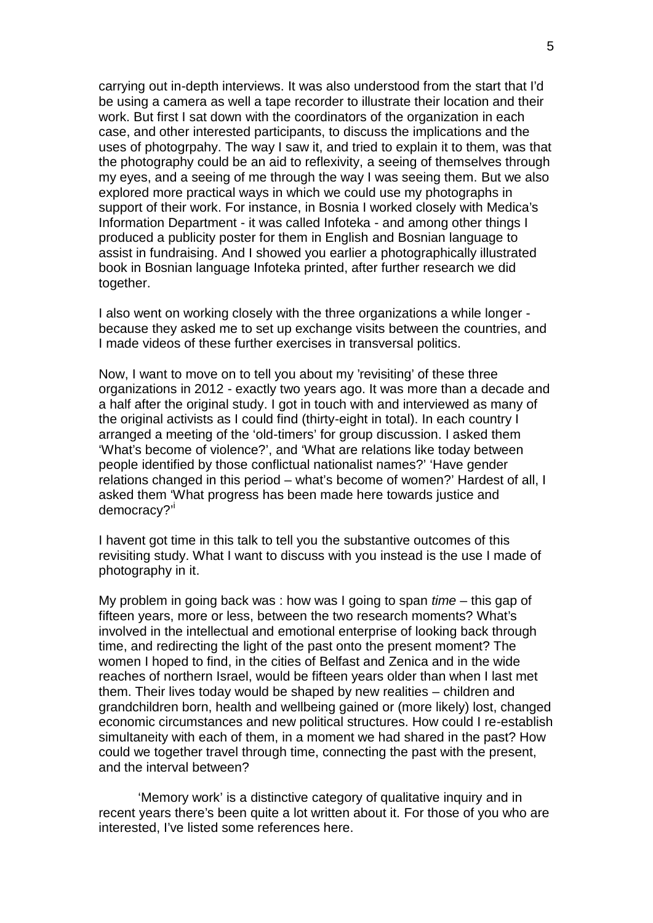carrying out in-depth interviews. It was also understood from the start that I'd be using a camera as well a tape recorder to illustrate their location and their work. But first I sat down with the coordinators of the organization in each case, and other interested participants, to discuss the implications and the uses of photogrpahy. The way I saw it, and tried to explain it to them, was that the photography could be an aid to reflexivity, a seeing of themselves through my eyes, and a seeing of me through the way I was seeing them. But we also explored more practical ways in which we could use my photographs in support of their work. For instance, in Bosnia I worked closely with Medica's Information Department - it was called Infoteka - and among other things I produced a publicity poster for them in English and Bosnian language to assist in fundraising. And I showed you earlier a photographically illustrated book in Bosnian language Infoteka printed, after further research we did together.

I also went on working closely with the three organizations a while longer because they asked me to set up exchange visits between the countries, and I made videos of these further exercises in transversal politics.

Now, I want to move on to tell you about my 'revisiting' of these three organizations in 2012 - exactly two years ago. It was more than a decade and a half after the original study. I got in touch with and interviewed as many of the original activists as I could find (thirty-eight in total). In each country I arranged a meeting of the 'old-timers' for group discussion. I asked them 'What's become of violence?', and 'What are relations like today between people identified by those conflictual nationalist names?' 'Have gender relations changed in this period – what's become of women?' Hardest of all, I asked them 'What progress has been made here towards justice and democracy?'<sup>i</sup>

I havent got time in this talk to tell you the substantive outcomes of this revisiting study. What I want to discuss with you instead is the use I made of photography in it.

My problem in going back was : how was I going to span *time* – this gap of fifteen years, more or less, between the two research moments? What's involved in the intellectual and emotional enterprise of looking back through time, and redirecting the light of the past onto the present moment? The women I hoped to find, in the cities of Belfast and Zenica and in the wide reaches of northern Israel, would be fifteen years older than when I last met them. Their lives today would be shaped by new realities – children and grandchildren born, health and wellbeing gained or (more likely) lost, changed economic circumstances and new political structures. How could I re-establish simultaneity with each of them, in a moment we had shared in the past? How could we together travel through time, connecting the past with the present, and the interval between?

'Memory work' is a distinctive category of qualitative inquiry and in recent years there's been quite a lot written about it. For those of you who are interested, I've listed some references here.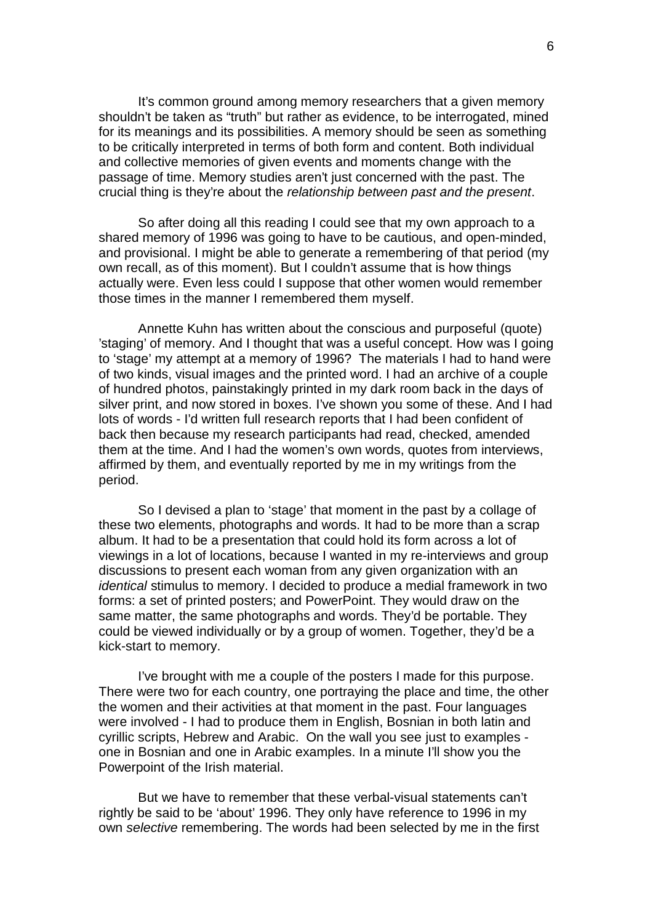It's common ground among memory researchers that a given memory shouldn't be taken as "truth" but rather as evidence, to be interrogated, mined for its meanings and its possibilities. A memory should be seen as something to be critically interpreted in terms of both form and content. Both individual and collective memories of given events and moments change with the passage of time. Memory studies aren't just concerned with the past. The crucial thing is they're about the *relationship between past and the present*.

So after doing all this reading I could see that my own approach to a shared memory of 1996 was going to have to be cautious, and open-minded, and provisional. I might be able to generate a remembering of that period (my own recall, as of this moment). But I couldn't assume that is how things actually were. Even less could I suppose that other women would remember those times in the manner I remembered them myself.

Annette Kuhn has written about the conscious and purposeful (quote) 'staging' of memory. And I thought that was a useful concept. How was I going to 'stage' my attempt at a memory of 1996? The materials I had to hand were of two kinds, visual images and the printed word. I had an archive of a couple of hundred photos, painstakingly printed in my dark room back in the days of silver print, and now stored in boxes. I've shown you some of these. And I had lots of words - I'd written full research reports that I had been confident of back then because my research participants had read, checked, amended them at the time. And I had the women's own words, quotes from interviews, affirmed by them, and eventually reported by me in my writings from the period.

So I devised a plan to 'stage' that moment in the past by a collage of these two elements, photographs and words. It had to be more than a scrap album. It had to be a presentation that could hold its form across a lot of viewings in a lot of locations, because I wanted in my re-interviews and group discussions to present each woman from any given organization with an *identical* stimulus to memory. I decided to produce a medial framework in two forms: a set of printed posters; and PowerPoint. They would draw on the same matter, the same photographs and words. They'd be portable. They could be viewed individually or by a group of women. Together, they'd be a kick-start to memory.

I've brought with me a couple of the posters I made for this purpose. There were two for each country, one portraying the place and time, the other the women and their activities at that moment in the past. Four languages were involved - I had to produce them in English, Bosnian in both latin and cyrillic scripts, Hebrew and Arabic. On the wall you see just to examples one in Bosnian and one in Arabic examples. In a minute I'll show you the Powerpoint of the Irish material.

But we have to remember that these verbal-visual statements can't rightly be said to be 'about' 1996. They only have reference to 1996 in my own *selective* remembering. The words had been selected by me in the first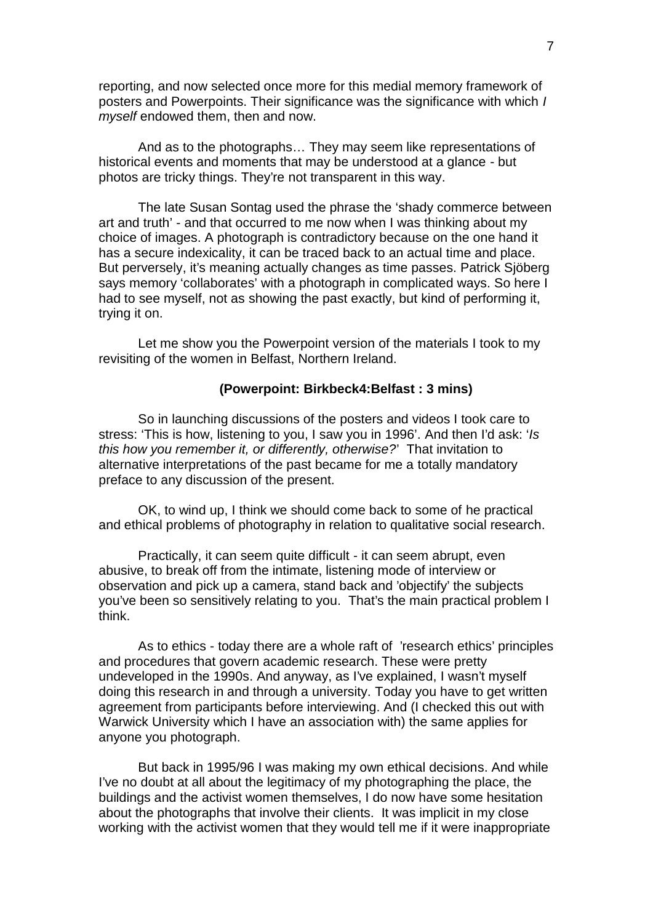reporting, and now selected once more for this medial memory framework of posters and Powerpoints. Their significance was the significance with which *I myself* endowed them, then and now.

And as to the photographs… They may seem like representations of historical events and moments that may be understood at a glance - but photos are tricky things. They're not transparent in this way.

The late Susan Sontag used the phrase the 'shady commerce between art and truth' - and that occurred to me now when I was thinking about my choice of images. A photograph is contradictory because on the one hand it has a secure indexicality, it can be traced back to an actual time and place. But perversely, it's meaning actually changes as time passes. Patrick Sjöberg says memory 'collaborates' with a photograph in complicated ways. So here I had to see myself, not as showing the past exactly, but kind of performing it, trying it on.

Let me show you the Powerpoint version of the materials I took to my revisiting of the women in Belfast, Northern Ireland.

## **(Powerpoint: Birkbeck4:Belfast : 3 mins)**

So in launching discussions of the posters and videos I took care to stress: 'This is how, listening to you, I saw you in 1996'. And then I'd ask: '*Is this how you remember it, or differently, otherwise?*' That invitation to alternative interpretations of the past became for me a totally mandatory preface to any discussion of the present.

OK, to wind up, I think we should come back to some of he practical and ethical problems of photography in relation to qualitative social research.

Practically, it can seem quite difficult - it can seem abrupt, even abusive, to break off from the intimate, listening mode of interview or observation and pick up a camera, stand back and 'objectify' the subjects you've been so sensitively relating to you. That's the main practical problem I think.

As to ethics - today there are a whole raft of 'research ethics' principles and procedures that govern academic research. These were pretty undeveloped in the 1990s. And anyway, as I've explained, I wasn't myself doing this research in and through a university. Today you have to get written agreement from participants before interviewing. And (I checked this out with Warwick University which I have an association with) the same applies for anyone you photograph.

But back in 1995/96 I was making my own ethical decisions. And while I've no doubt at all about the legitimacy of my photographing the place, the buildings and the activist women themselves, I do now have some hesitation about the photographs that involve their clients. It was implicit in my close working with the activist women that they would tell me if it were inappropriate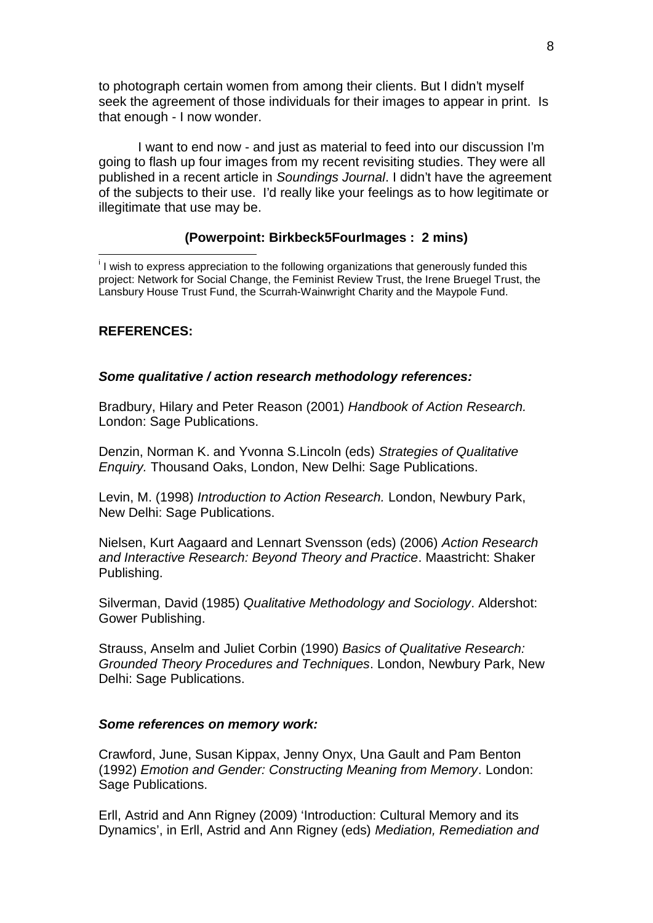to photograph certain women from among their clients. But I didn't myself seek the agreement of those individuals for their images to appear in print. Is that enough - I now wonder.

I want to end now - and just as material to feed into our discussion I'm going to flash up four images from my recent revisiting studies. They were all published in a recent article in *Soundings Journal*. I didn't have the agreement of the subjects to their use. I'd really like your feelings as to how legitimate or illegitimate that use may be.

## **(Powerpoint: Birkbeck5FourImages : 2 mins)**

<sup>i</sup> I wish to express appreciation to the following organizations that generously funded this project: Network for Social Change, the Feminist Review Trust, the Irene Bruegel Trust, the Lansbury House Trust Fund, the Scurrah-Wainwright Charity and the Maypole Fund.

## **REFERENCES:**

#### *Some qualitative / action research methodology references:*

Bradbury, Hilary and Peter Reason (2001) *Handbook of Action Research.* London: Sage Publications.

Denzin, Norman K. and Yvonna S.Lincoln (eds) *Strategies of Qualitative Enquiry.* Thousand Oaks, London, New Delhi: Sage Publications.

Levin, M. (1998) *Introduction to Action Research.* London, Newbury Park, New Delhi: Sage Publications.

Nielsen, Kurt Aagaard and Lennart Svensson (eds) (2006) *Action Research and Interactive Research: Beyond Theory and Practice*. Maastricht: Shaker Publishing.

Silverman, David (1985) *Qualitative Methodology and Sociology*. Aldershot: Gower Publishing.

Strauss, Anselm and Juliet Corbin (1990) *Basics of Qualitative Research: Grounded Theory Procedures and Techniques*. London, Newbury Park, New Delhi: Sage Publications.

### *Some references on memory work:*

Crawford, June, Susan Kippax, Jenny Onyx, Una Gault and Pam Benton (1992) *Emotion and Gender: Constructing Meaning from Memory*. London: Sage Publications.

Erll, Astrid and Ann Rigney (2009) 'Introduction: Cultural Memory and its Dynamics', in Erll, Astrid and Ann Rigney (eds) *Mediation, Remediation and*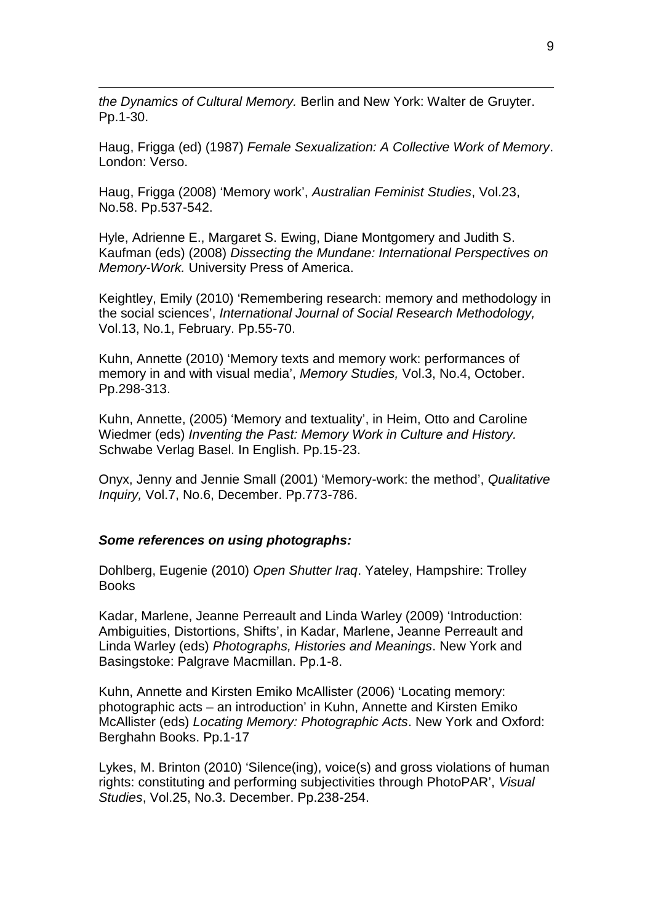*the Dynamics of Cultural Memory.* Berlin and New York: Walter de Gruyter. Pp.1-30.

Haug, Frigga (ed) (1987) *Female Sexualization: A Collective Work of Memory*. London: Verso.

Haug, Frigga (2008) 'Memory work', *Australian Feminist Studies*, Vol.23, No.58. Pp.537-542.

Hyle, Adrienne E., Margaret S. Ewing, Diane Montgomery and Judith S. Kaufman (eds) (2008) *Dissecting the Mundane: International Perspectives on Memory-Work.* University Press of America.

Keightley, Emily (2010) 'Remembering research: memory and methodology in the social sciences', *International Journal of Social Research Methodology,* Vol.13, No.1, February. Pp.55-70.

Kuhn, Annette (2010) 'Memory texts and memory work: performances of memory in and with visual media', *Memory Studies,* Vol.3, No.4, October. Pp.298-313.

Kuhn, Annette, (2005) 'Memory and textuality', in Heim, Otto and Caroline Wiedmer (eds) *Inventing the Past: Memory Work in Culture and History.* Schwabe Verlag Basel. In English. Pp.15-23.

Onyx, Jenny and Jennie Small (2001) 'Memory-work: the method', *Qualitative Inquiry,* Vol.7, No.6, December. Pp.773-786.

#### *Some references on using photographs:*

Dohlberg, Eugenie (2010) *Open Shutter Iraq*. Yateley, Hampshire: Trolley Books

Kadar, Marlene, Jeanne Perreault and Linda Warley (2009) 'Introduction: Ambiguities, Distortions, Shifts', in Kadar, Marlene, Jeanne Perreault and Linda Warley (eds) *Photographs, Histories and Meanings*. New York and Basingstoke: Palgrave Macmillan. Pp.1-8.

Kuhn, Annette and Kirsten Emiko McAllister (2006) 'Locating memory: photographic acts – an introduction' in Kuhn, Annette and Kirsten Emiko McAllister (eds) *Locating Memory: Photographic Acts*. New York and Oxford: Berghahn Books. Pp.1-17

Lykes, M. Brinton (2010) 'Silence(ing), voice(s) and gross violations of human rights: constituting and performing subjectivities through PhotoPAR', *Visual Studies*, Vol.25, No.3. December. Pp.238-254.